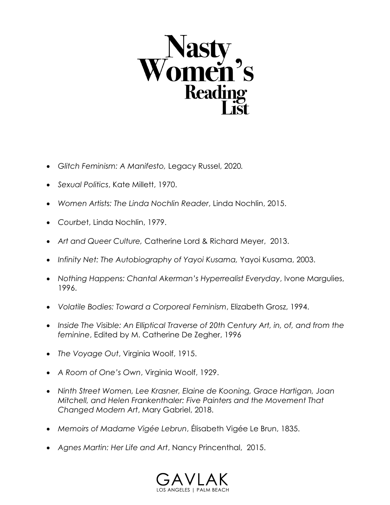

- *Glitch Feminism: A Manifesto,* Legacy Russel, 2020*.*
- *Sexual Politics*, Kate Millett, 1970.
- *Women Artists: The Linda Nochlin Reader*, Linda Nochlin, 2015.
- *Courbe*t, Linda Nochlin, 1979.
- *Art and Queer Culture,* Catherine Lord & Richard Meyer, 2013.
- *Infinity Net: The Autobiography of Yayoi Kusama,* Yayoi Kusama, 2003.
- *Nothing Happens: Chantal Akerman's Hyperrealist Everyday*, Ivone Margulies, 1996.
- *Volatile Bodies: Toward a Corporeal Feminism*, Elizabeth Grosz, 1994.
- *Inside The Visible: An Elliptical Traverse of 20th Century Art, in, of, and from the feminine*, Edited by M. Catherine De Zegher, 1996
- *The Voyage Out*, Virginia Woolf, 1915.
- *A Room of One's Own*, Virginia Woolf, 1929.
- *Ninth Street Women, Lee Krasner, Elaine de Kooning, Grace Hartigan, Joan Mitchell, and Helen Frankenthaler: Five Painters and the Movement That Changed Modern Art*, Mary Gabriel, 2018.
- *Memoirs of Madame Vigée Lebrun*, Élisabeth Vigée Le Brun, 1835.
- *Agnes Martin: Her Life and Art*, Nancy Princenthal, 2015.

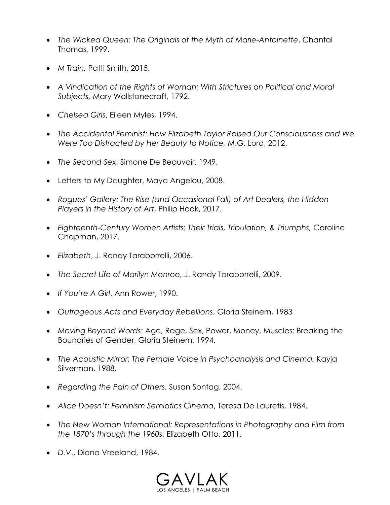- *The Wicked Queen: The Originals of the Myth of Marie-Antoinette*, Chantal Thomas, 1999.
- *M Train,* Patti Smith, 2015.
- *A Vindication of the Rights of Woman: With Strictures on Political and Moral Subjects,* Mary Wollstonecraft, 1792.
- *Chelsea Girls*, Eileen Myles, 1994.
- *The Accidental Feminist: How Elizabeth Taylor Raised Our Consciousness and We Were Too Distracted by Her Beauty to Notice,* M.G. Lord, 2012.
- *The Second Sex*, Simone De Beauvoir, 1949.
- Letters to My Daughter, Maya Angelou, 2008.
- *Rogues' Gallery: The Rise (and Occasional Fall) of Art Dealers, the Hidden Players in the History of Art*, Philip Hook, 2017.
- *Eighteenth-Century Women Artists: Their Trials, Tribulation, & Triumphs,* Caroline Chapman, 2017.
- *Elizabeth*, J. Randy Taraborrelli, 2006.
- *The Secret Life of Marilyn Monroe,* J. Randy Taraborrelli, 2009.
- *If You're A Girl*, Ann Rower, 1990.
- *Outrageous Acts and Everyday Rebellions*, Gloria Steinem, 1983
- *Moving Beyond Words*: Age, Rage, Sex, Power, Money, Muscles: Breaking the Boundries of Gender, Gloria Steinem, 1994.
- *The Acoustic Mirror: The Female Voice in Psychoanalysis and Cinema,* Kayja Silverman, 1988.
- *Regarding the Pain of Others*, Susan Sontag, 2004.
- *Alice Doesn't: Feminism Semiotics Cinema*, Teresa De Lauretis, 1984.
- *The New Woman International: Representations in Photography and Film from the 1870's through the 1960s*, Elizabeth Otto, 2011.
- *D.V*., Diana Vreeland, 1984.